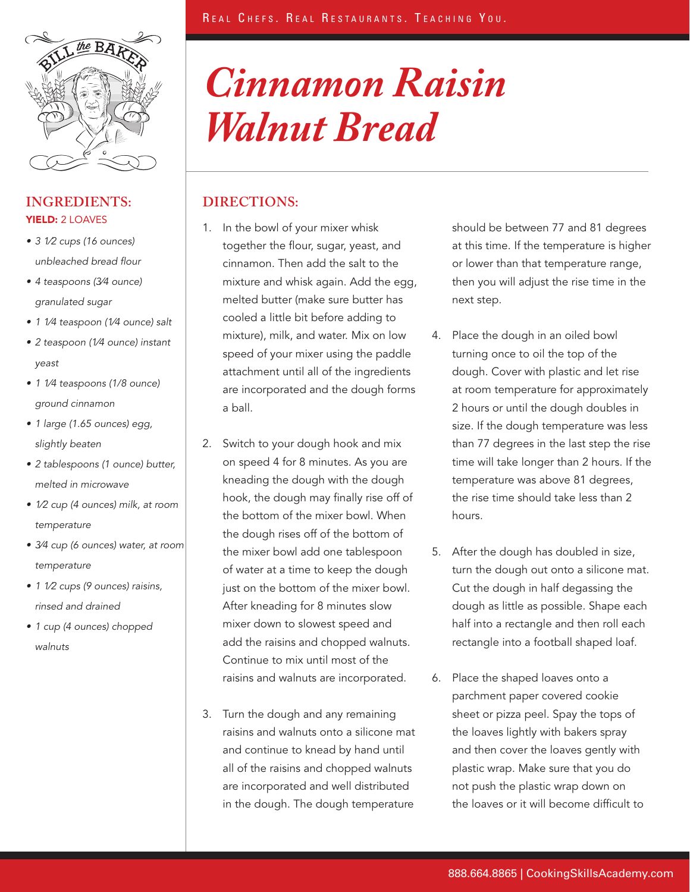

## **Ingredients: Directions:** YIELD: 2 LOAVES

- 3 1/2 cups (16 ounces) unbleached bread flour
- 4 teaspoons (3⁄4 ounce) granulated sugar
- 1 1/4 teaspoon (1/4 ounce) salt
- • 2 teaspoon (1⁄4 ounce) instant yeast
- 1 1/4 teaspoons (1/8 ounce) ground cinnamon
- 1 large (1.65 ounces) egg, slightly beaten
- • 2 tablespoons (1 ounce) butter, melted in microwave
- 1/2 cup (4 ounces) milk, at room temperature
- 3⁄4 cup (6 ounces) water, at room temperature
- 1 1/2 cups (9 ounces) raisins, rinsed and drained
- 1 cup (4 ounces) chopped walnuts

# *Cinnamon Raisin Walnut Bread*

- 1. In the bowl of your mixer whisk together the flour, sugar, yeast, and cinnamon. Then add the salt to the mixture and whisk again. Add the egg, melted butter (make sure butter has cooled a little bit before adding to mixture), milk, and water. Mix on low speed of your mixer using the paddle attachment until all of the ingredients are incorporated and the dough forms a ball.
- 2. Switch to your dough hook and mix on speed 4 for 8 minutes. As you are kneading the dough with the dough hook, the dough may finally rise off of the bottom of the mixer bowl. When the dough rises off of the bottom of the mixer bowl add one tablespoon of water at a time to keep the dough just on the bottom of the mixer bowl. After kneading for 8 minutes slow mixer down to slowest speed and add the raisins and chopped walnuts. Continue to mix until most of the raisins and walnuts are incorporated.
- 3. Turn the dough and any remaining raisins and walnuts onto a silicone mat and continue to knead by hand until all of the raisins and chopped walnuts are incorporated and well distributed in the dough. The dough temperature

should be between 77 and 81 degrees at this time. If the temperature is higher or lower than that temperature range, then you will adjust the rise time in the next step.

- 4. Place the dough in an oiled bowl turning once to oil the top of the dough. Cover with plastic and let rise at room temperature for approximately 2 hours or until the dough doubles in size. If the dough temperature was less than 77 degrees in the last step the rise time will take longer than 2 hours. If the temperature was above 81 degrees, the rise time should take less than 2 hours.
- 5. After the dough has doubled in size, turn the dough out onto a silicone mat. Cut the dough in half degassing the dough as little as possible. Shape each half into a rectangle and then roll each rectangle into a football shaped loaf.
- 6. Place the shaped loaves onto a parchment paper covered cookie sheet or pizza peel. Spay the tops of the loaves lightly with bakers spray and then cover the loaves gently with plastic wrap. Make sure that you do not push the plastic wrap down on the loaves or it will become difficult to